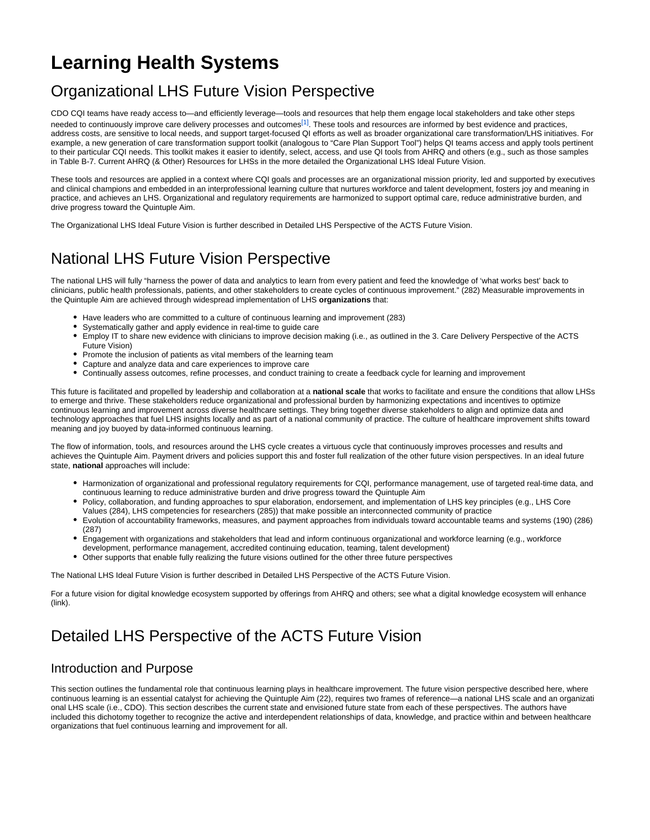# **Learning Health Systems**

# Organizational LHS Future Vision Perspective

<span id="page-0-0"></span>CDO CQI teams have ready access to—and efficiently leverage—tools and resources that help them engage local stakeholders and take other steps needed to continuously improve care delivery processes and outcomes $[1]$ . These tools and resources are informed by best evidence and practices, address costs, are sensitive to local needs, and support target-focused QI efforts as well as broader organizational care transformation/LHS initiatives. For example, a new generation of care transformation support toolkit (analogous to "Care Plan Support Tool") helps QI teams access and apply tools pertinent to their particular CQI needs. This toolkit makes it easier to identify, select, access, and use QI tools from AHRQ and others (e.g., such as those samples in Table B-7. Current AHRQ (& Other) Resources for LHSs in the more detailed the Organizational LHS Ideal Future Vision.

These tools and resources are applied in a context where CQI goals and processes are an organizational mission priority, led and supported by executives and clinical champions and embedded in an interprofessional learning culture that nurtures workforce and talent development, fosters joy and meaning in practice, and achieves an LHS. Organizational and regulatory requirements are harmonized to support optimal care, reduce administrative burden, and drive progress toward the Quintuple Aim.

The Organizational LHS Ideal Future Vision is further described in Detailed LHS Perspective of the ACTS Future Vision.

## National LHS Future Vision Perspective

The national LHS will fully "harness the power of data and analytics to learn from every patient and feed the knowledge of 'what works best' back to clinicians, public health professionals, patients, and other stakeholders to create cycles of continuous improvement." (282) Measurable improvements in the Quintuple Aim are achieved through widespread implementation of LHS **organizations** that:

- Have leaders who are committed to a culture of continuous learning and improvement (283)
- Systematically gather and apply evidence in real-time to guide care
- Employ IT to share new evidence with clinicians to improve decision making (i.e., as outlined in the 3. Care Delivery Perspective of the ACTS Future Vision)
- Promote the inclusion of patients as vital members of the learning team
- Capture and analyze data and care experiences to improve care
- Continually assess outcomes, refine processes, and conduct training to create a feedback cycle for learning and improvement

This future is facilitated and propelled by leadership and collaboration at a **national scale** that works to facilitate and ensure the conditions that allow LHSs to emerge and thrive. These stakeholders reduce organizational and professional burden by harmonizing expectations and incentives to optimize continuous learning and improvement across diverse healthcare settings. They bring together diverse stakeholders to align and optimize data and technology approaches that fuel LHS insights locally and as part of a national community of practice. The culture of healthcare improvement shifts toward meaning and joy buoyed by data-informed continuous learning.

The flow of information, tools, and resources around the LHS cycle creates a virtuous cycle that continuously improves processes and results and achieves the Quintuple Aim. Payment drivers and policies support this and foster full realization of the other future vision perspectives. In an ideal future state, **national** approaches will include:

- Harmonization of organizational and professional regulatory requirements for CQI, performance management, use of targeted real-time data, and continuous learning to reduce administrative burden and drive progress toward the Quintuple Aim
- Policy, collaboration, and funding approaches to spur elaboration, endorsement, and implementation of LHS key principles (e.g., LHS Core
- Values (284), LHS competencies for researchers (285)) that make possible an interconnected community of practice Evolution of accountability frameworks, measures, and payment approaches from individuals toward accountable teams and systems (190) (286) (287)
- Engagement with organizations and stakeholders that lead and inform continuous organizational and workforce learning (e.g., workforce
- development, performance management, accredited continuing education, teaming, talent development)
- Other supports that enable fully realizing the future visions outlined for the other three future perspectives

The National LHS Ideal Future Vision is further described in Detailed LHS Perspective of the ACTS Future Vision.

For a future vision for digital knowledge ecosystem supported by offerings from AHRQ and others; see what a digital knowledge ecosystem will enhance (link).

## Detailed LHS Perspective of the ACTS Future Vision

#### Introduction and Purpose

This section outlines the fundamental role that continuous learning plays in healthcare improvement. The future vision perspective described here, where continuous learning is an essential catalyst for achieving the Quintuple Aim (22), requires two frames of reference—a national LHS scale and an organizati onal LHS scale (i.e., CDO). This section describes the current state and envisioned future state from each of these perspectives. The authors have included this dichotomy together to recognize the active and interdependent relationships of data, knowledge, and practice within and between healthcare organizations that fuel continuous learning and improvement for all.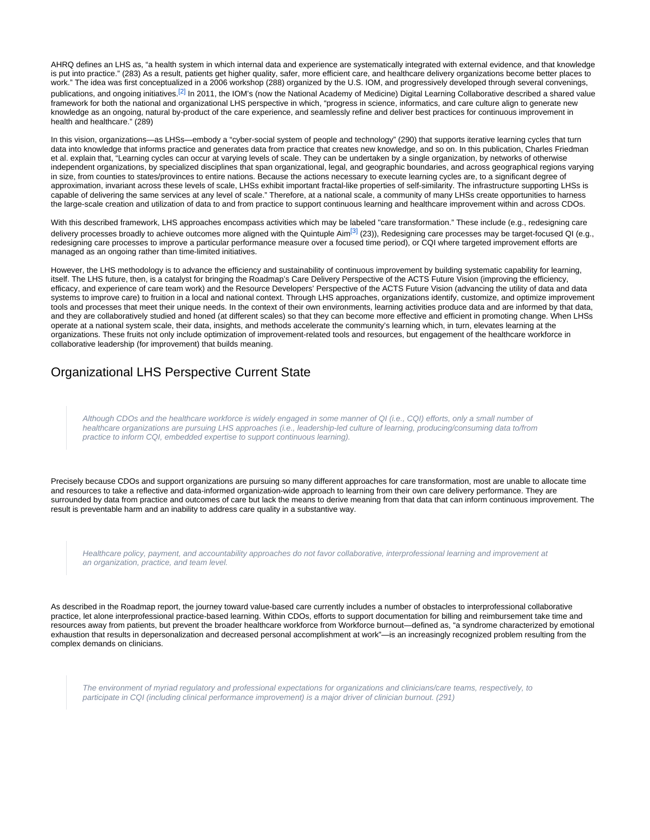<span id="page-1-0"></span>AHRQ defines an LHS as, "a health system in which internal data and experience are systematically integrated with external evidence, and that knowledge is put into practice." (283) As a result, patients get higher quality, safer, more efficient care, and healthcare delivery organizations become better places to work." The idea was first conceptualized in a 2006 workshop (288) organized by the U.S. IOM, and progressively developed through several convenings, publications, and ongoing initiatives[.](#page-6-1)<sup>[2]</sup> In 2011, the IOM's (now the National Academy of Medicine) Digital Learning Collaborative described a shared value framework for both the national and organizational LHS perspective in which, "progress in science, informatics, and care culture align to generate new knowledge as an ongoing, natural by-product of the care experience, and seamlessly refine and deliver best practices for continuous improvement in health and healthcare." (289)

In this vision, organizations—as LHSs—embody a "cyber-social system of people and technology" (290) that supports iterative learning cycles that turn data into knowledge that informs practice and generates data from practice that creates new knowledge, and so on. In this publication, Charles Friedman et al. explain that, "Learning cycles can occur at varying levels of scale. They can be undertaken by a single organization, by networks of otherwise independent organizations, by specialized disciplines that span organizational, legal, and geographic boundaries, and across geographical regions varying in size, from counties to states/provinces to entire nations. Because the actions necessary to execute learning cycles are, to a significant degree of approximation, invariant across these levels of scale, LHSs exhibit important fractal-like properties of self-similarity. The infrastructure supporting LHSs is capable of delivering the same services at any level of scale." Therefore, at a national scale, a community of many LHSs create opportunities to harness the large-scale creation and utilization of data to and from practice to support continuous learning and healthcare improvement within and across CDOs.

<span id="page-1-1"></span>With this described framework, LHS approaches encompass activities which may be labeled "care transformation." These include (e.g., redesigning care delivery processes broadly to achieve outco[m](#page-6-2)es more aligned with the Quintuple Aim<sup>[3]</sup> (23)), Redesigning care processes may be target-focused QI (e.g., redesigning care processes to improve a particular performance measure over a focused time period), or CQI where targeted improvement efforts are managed as an ongoing rather than time-limited initiatives.

However, the LHS methodology is to advance the efficiency and sustainability of continuous improvement by building systematic capability for learning, itself. The LHS future, then, is a catalyst for bringing the Roadmap's Care Delivery Perspective of the ACTS Future Vision (improving the efficiency, efficacy, and experience of care team work) and the Resource Developers' Perspective of the ACTS Future Vision (advancing the utility of data and data systems to improve care) to fruition in a local and national context. Through LHS approaches, organizations identify, customize, and optimize improvement tools and processes that meet their unique needs. In the context of their own environments, learning activities produce data and are informed by that data, and they are collaboratively studied and honed (at different scales) so that they can become more effective and efficient in promoting change. When LHSs operate at a national system scale, their data, insights, and methods accelerate the community's learning which, in turn, elevates learning at the organizations. These fruits not only include optimization of improvement-related tools and resources, but engagement of the healthcare workforce in collaborative leadership (for improvement) that builds meaning.

#### Organizational LHS Perspective Current State

Although CDOs and the healthcare workforce is widely engaged in some manner of QI (i.e., CQI) efforts, only a small number of healthcare organizations are pursuing LHS approaches (i.e., leadership-led culture of learning, producing/consuming data to/from practice to inform CQI, embedded expertise to support continuous learning).

Precisely because CDOs and support organizations are pursuing so many different approaches for care transformation, most are unable to allocate time and resources to take a reflective and data-informed organization-wide approach to learning from their own care delivery performance. They are surrounded by data from practice and outcomes of care but lack the means to derive meaning from that data that can inform continuous improvement. The result is preventable harm and an inability to address care quality in a substantive way.

Healthcare policy, payment, and accountability approaches do not favor collaborative, interprofessional learning and improvement at an organization, practice, and team level.

As described in the Roadmap report, the journey toward value-based care currently includes a number of obstacles to interprofessional collaborative practice, let alone interprofessional practice-based learning. Within CDOs, efforts to support documentation for billing and reimbursement take time and resources away from patients, but prevent the broader healthcare workforce from Workforce burnout—defined as, "a syndrome characterized by emotional exhaustion that results in depersonalization and decreased personal accomplishment at work"—is an increasingly recognized problem resulting from the complex demands on clinicians.

The environment of myriad regulatory and professional expectations for organizations and clinicians/care teams, respectively, to participate in CQI (including clinical performance improvement) is a major driver of clinician burnout. (291)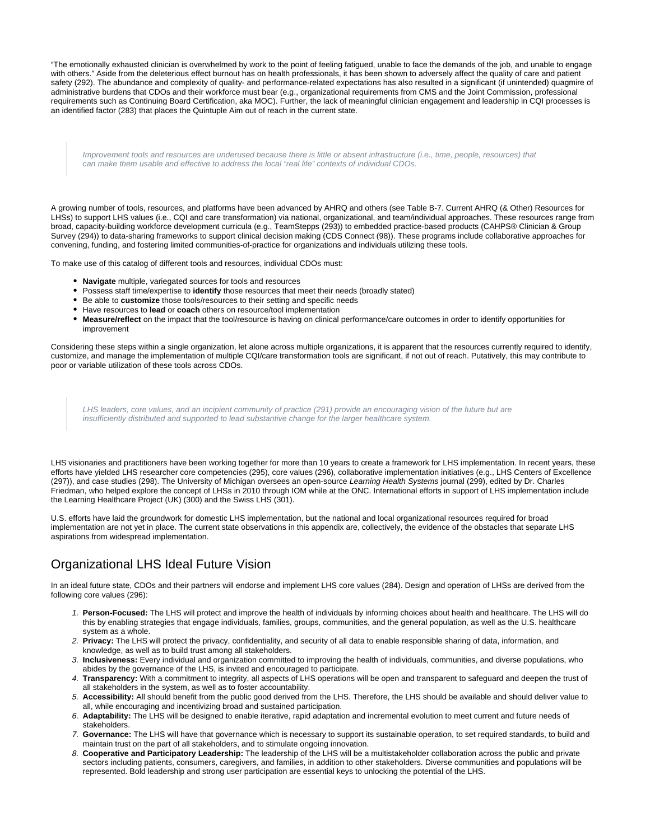"The emotionally exhausted clinician is overwhelmed by work to the point of feeling fatigued, unable to face the demands of the job, and unable to engage with others." Aside from the deleterious effect burnout has on health professionals, it has been shown to adversely affect the quality of care and patient safety (292). The abundance and complexity of quality- and performance-related expectations has also resulted in a significant (if unintended) quagmire of administrative burdens that CDOs and their workforce must bear (e.g., organizational requirements from CMS and the Joint Commission, professional requirements such as Continuing Board Certification, aka MOC). Further, the lack of meaningful clinician engagement and leadership in CQI processes is an identified factor (283) that places the Quintuple Aim out of reach in the current state.

Improvement tools and resources are underused because there is little or absent infrastructure (i.e., time, people, resources) that can make them usable and effective to address the local "real life" contexts of individual CDOs.

A growing number of tools, resources, and platforms have been advanced by AHRQ and others (see Table B-7. Current AHRQ (& Other) Resources for LHSs) to support LHS values (i.e., CQI and care transformation) via national, organizational, and team/individual approaches. These resources range from broad, capacity-building workforce development curricula (e.g., TeamStepps (293)) to embedded practice-based products (CAHPS® Clinician & Group Survey (294)) to data-sharing frameworks to support clinical decision making (CDS Connect (98)). These programs include collaborative approaches for convening, funding, and fostering limited communities-of-practice for organizations and individuals utilizing these tools.

To make use of this catalog of different tools and resources, individual CDOs must:

- **Navigate** multiple, variegated sources for tools and resources
- Possess staff time/expertise to **identify** those resources that meet their needs (broadly stated)
- Be able to **customize** those tools/resources to their setting and specific needs
- Have resources to **lead** or **coach** others on resource/tool implementation
- **Measure/reflect** on the impact that the tool/resource is having on clinical performance/care outcomes in order to identify opportunities for improvement

Considering these steps within a single organization, let alone across multiple organizations, it is apparent that the resources currently required to identify, customize, and manage the implementation of multiple CQI/care transformation tools are significant, if not out of reach. Putatively, this may contribute to poor or variable utilization of these tools across CDOs.

LHS leaders, core values, and an incipient community of practice (291) provide an encouraging vision of the future but are insufficiently distributed and supported to lead substantive change for the larger healthcare system.

LHS visionaries and practitioners have been working together for more than 10 years to create a framework for LHS implementation. In recent years, these efforts have yielded LHS researcher core competencies (295), core values (296), collaborative implementation initiatives (e.g., LHS Centers of Excellence (297)), and case studies (298). The University of Michigan oversees an open-source Learning Health Systems journal (299), edited by Dr. Charles Friedman, who helped explore the concept of LHSs in 2010 through IOM while at the ONC. International efforts in support of LHS implementation include the Learning Healthcare Project (UK) (300) and the Swiss LHS (301).

U.S. efforts have laid the groundwork for domestic LHS implementation, but the national and local organizational resources required for broad implementation are not yet in place. The current state observations in this appendix are, collectively, the evidence of the obstacles that separate LHS aspirations from widespread implementation.

### Organizational LHS Ideal Future Vision

In an ideal future state, CDOs and their partners will endorse and implement LHS core values (284). Design and operation of LHSs are derived from the following core values (296):

- 1. **Person-Focused:** The LHS will protect and improve the health of individuals by informing choices about health and healthcare. The LHS will do this by enabling strategies that engage individuals, families, groups, communities, and the general population, as well as the U.S. healthcare system as a whole.
- 2. **Privacy:** The LHS will protect the privacy, confidentiality, and security of all data to enable responsible sharing of data, information, and knowledge, as well as to build trust among all stakeholders.
- 3. **Inclusiveness:** Every individual and organization committed to improving the health of individuals, communities, and diverse populations, who abides by the governance of the LHS, is invited and encouraged to participate.
- 4. **Transparency:** With a commitment to integrity, all aspects of LHS operations will be open and transparent to safeguard and deepen the trust of all stakeholders in the system, as well as to foster accountability.
- 5. **Accessibility:** All should benefit from the public good derived from the LHS. Therefore, the LHS should be available and should deliver value to all, while encouraging and incentivizing broad and sustained participation.
- 6. **Adaptability:** The LHS will be designed to enable iterative, rapid adaptation and incremental evolution to meet current and future needs of stakeholders.
- 7. **Governance:** The LHS will have that governance which is necessary to support its sustainable operation, to set required standards, to build and maintain trust on the part of all stakeholders, and to stimulate ongoing innovation.
- 8. **Cooperative and Participatory Leadership:** The leadership of the LHS will be a multistakeholder collaboration across the public and private sectors including patients, consumers, caregivers, and families, in addition to other stakeholders. Diverse communities and populations will be represented. Bold leadership and strong user participation are essential keys to unlocking the potential of the LHS.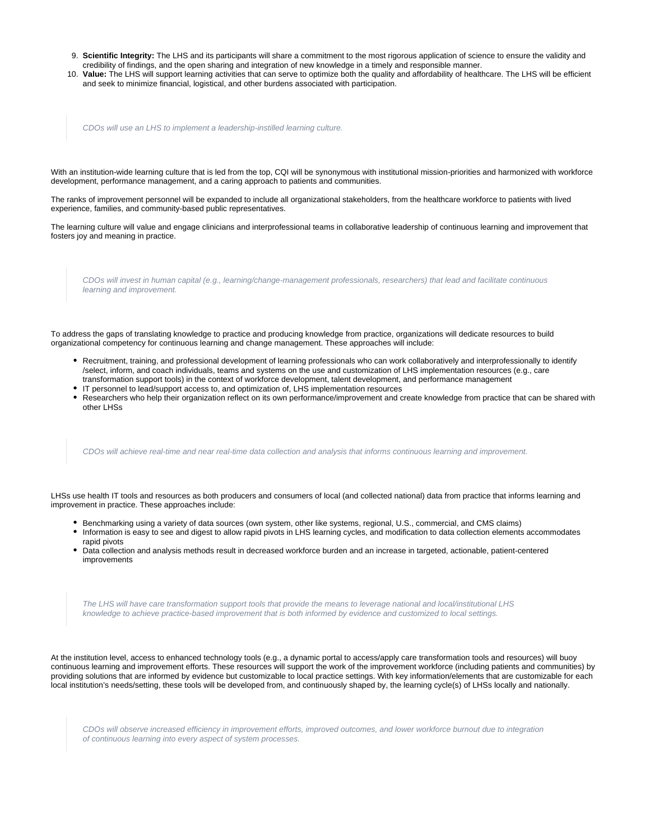- 9. **Scientific Integrity:** The LHS and its participants will share a commitment to the most rigorous application of science to ensure the validity and credibility of findings, and the open sharing and integration of new knowledge in a timely and responsible manner.
- 10. **Value:** The LHS will support learning activities that can serve to optimize both the quality and affordability of healthcare. The LHS will be efficient and seek to minimize financial, logistical, and other burdens associated with participation.

CDOs will use an LHS to implement a leadership-instilled learning culture.

With an institution-wide learning culture that is led from the top, CQI will be synonymous with institutional mission-priorities and harmonized with workforce development, performance management, and a caring approach to patients and communities.

The ranks of improvement personnel will be expanded to include all organizational stakeholders, from the healthcare workforce to patients with lived experience, families, and community-based public representatives.

The learning culture will value and engage clinicians and interprofessional teams in collaborative leadership of continuous learning and improvement that fosters joy and meaning in practice.

CDOs will invest in human capital (e.g., learning/change-management professionals, researchers) that lead and facilitate continuous learning and improvement.

To address the gaps of translating knowledge to practice and producing knowledge from practice, organizations will dedicate resources to build organizational competency for continuous learning and change management. These approaches will include:

- Recruitment, training, and professional development of learning professionals who can work collaboratively and interprofessionally to identify /select, inform, and coach individuals, teams and systems on the use and customization of LHS implementation resources (e.g., care transformation support tools) in the context of workforce development, talent development, and performance management
- IT personnel to lead/support access to, and optimization of, LHS implementation resources
- Researchers who help their organization reflect on its own performance/improvement and create knowledge from practice that can be shared with other LHSs

CDOs will achieve real-time and near real-time data collection and analysis that informs continuous learning and improvement.

LHSs use health IT tools and resources as both producers and consumers of local (and collected national) data from practice that informs learning and improvement in practice. These approaches include:

- Benchmarking using a variety of data sources (own system, other like systems, regional, U.S., commercial, and CMS claims)
- Information is easy to see and digest to allow rapid pivots in LHS learning cycles, and modification to data collection elements accommodates rapid pivots
- Data collection and analysis methods result in decreased workforce burden and an increase in targeted, actionable, patient-centered improvements

The LHS will have care transformation support tools that provide the means to leverage national and local/institutional LHS knowledge to achieve practice-based improvement that is both informed by evidence and customized to local settings.

At the institution level, access to enhanced technology tools (e.g., a dynamic portal to access/apply care transformation tools and resources) will buoy continuous learning and improvement efforts. These resources will support the work of the improvement workforce (including patients and communities) by providing solutions that are informed by evidence but customizable to local practice settings. With key information/elements that are customizable for each local institution's needs/setting, these tools will be developed from, and continuously shaped by, the learning cycle(s) of LHSs locally and nationally.

CDOs will observe increased efficiency in improvement efforts, improved outcomes, and lower workforce burnout due to integration of continuous learning into every aspect of system processes.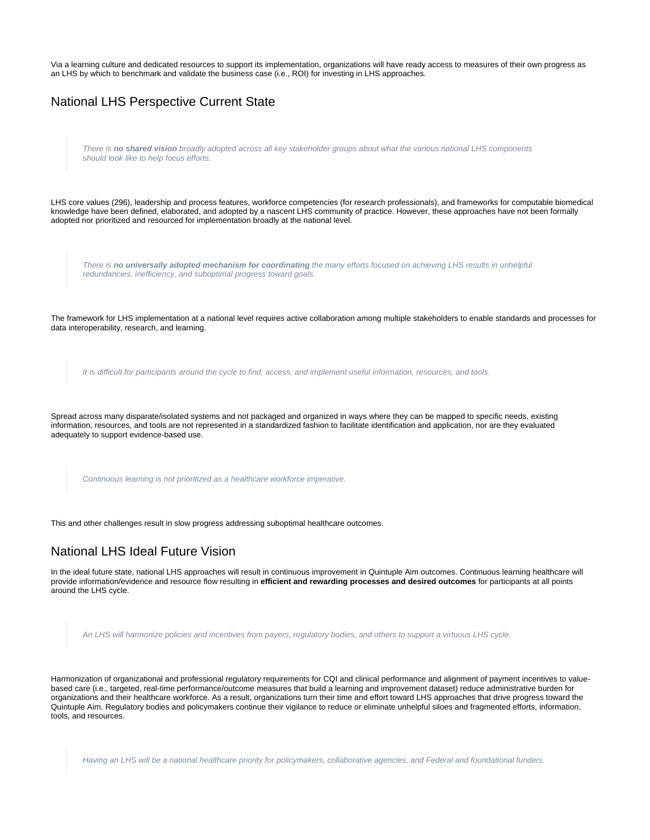Via a learning culture and dedicated resources to support its implementation, organizations will have ready access to measures of their own progress as an LHS by which to benchmark and validate the business case (i.e., ROI) for investing in LHS approaches.

| <b>National LHS Perspective Current State</b>                                                                                                                                                                                                                                                                                                                                                     |  |  |  |
|---------------------------------------------------------------------------------------------------------------------------------------------------------------------------------------------------------------------------------------------------------------------------------------------------------------------------------------------------------------------------------------------------|--|--|--|
| There is no shared vision broadly adopted across all key stakeholder groups about what the various national LHS components<br>should look like to help focus efforts.                                                                                                                                                                                                                             |  |  |  |
| LHS core values (296), leadership and process features, workforce competencies (for research professionals), and frameworks for computable biomedical<br>knowledge have been defined, elaborated, and adopted by a nascent LHS community of practice. However, these approaches have not been formally<br>adopted nor prioritized and resourced for implementation broadly at the national level. |  |  |  |
| There is no universally adopted mechanism for coordinating the many efforts focused on achieving LHS results in unhelpful<br>redundancies, inefficiency, and suboptimal progress toward goals.                                                                                                                                                                                                    |  |  |  |
| The framework for LHS implementation at a national level requires active collaboration among multiple stakeholders to enable standards and processes for<br>data interoperability, research, and learning.                                                                                                                                                                                        |  |  |  |
| It is difficult for participants around the cycle to find, access, and implement useful information, resources, and tools.                                                                                                                                                                                                                                                                        |  |  |  |
| Spread across many disparate/isolated systems and not packaged and organized in ways where they can be mapped to specific needs, existing<br>information, resources, and tools are not represented in a standardized fashion to facilitate identification and application, nor are they evaluated<br>adequately to support evidence-based use.                                                    |  |  |  |
| Continuous learning is not prioritized as a healthcare workforce imperative.                                                                                                                                                                                                                                                                                                                      |  |  |  |

This and other challenges result in slow progress addressing suboptimal healthcare outcomes.

#### National LHS Ideal Future Vision

In the ideal future state, national LHS approaches will result in continuous improvement in Quintuple Aim outcomes. Continuous learning healthcare will provide information/evidence and resource flow resulting in **efficient and rewarding processes and desired outcomes** for participants at all points around the LHS cycle.

An LHS will harmonize policies and incentives from payers, regulatory bodies, and others to support a virtuous LHS cycle.

Harmonization of organizational and professional regulatory requirements for CQI and clinical performance and alignment of payment incentives to valuebased care (i.e., targeted, real-time performance/outcome measures that build a learning and improvement dataset) reduce administrative burden for organizations and their healthcare workforce. As a result, organizations turn their time and effort toward LHS approaches that drive progress toward the Quintuple Aim. Regulatory bodies and policymakers continue their vigilance to reduce or eliminate unhelpful siloes and fragmented efforts, information, tools, and resources.

Having an LHS will be a national healthcare priority for policymakers, collaborative agencies, and Federal and foundational funders.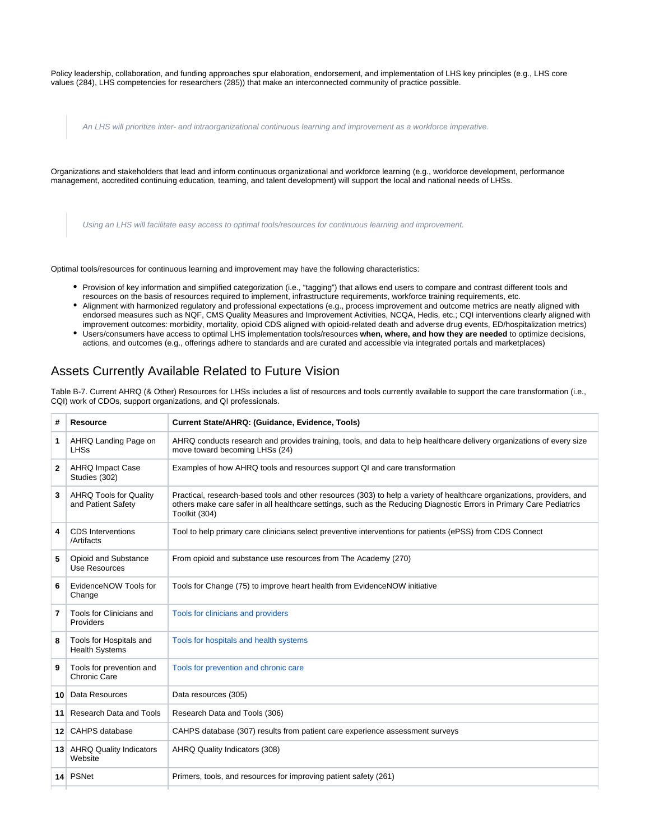Policy leadership, collaboration, and funding approaches spur elaboration, endorsement, and implementation of LHS key principles (e.g., LHS core values (284), LHS competencies for researchers (285)) that make an interconnected community of practice possible.

An LHS will prioritize inter- and intraorganizational continuous learning and improvement as a workforce imperative.

Organizations and stakeholders that lead and inform continuous organizational and workforce learning (e.g., workforce development, performance management, accredited continuing education, teaming, and talent development) will support the local and national needs of LHSs.

Using an LHS will facilitate easy access to optimal tools/resources for continuous learning and improvement.

Optimal tools/resources for continuous learning and improvement may have the following characteristics:

- Provision of key information and simplified categorization (i.e., "tagging") that allows end users to compare and contrast different tools and resources on the basis of resources required to implement, infrastructure requirements, workforce training requirements, etc.
- Alignment with harmonized regulatory and professional expectations (e.g., process improvement and outcome metrics are neatly aligned with endorsed measures such as NQF, CMS Quality Measures and Improvement Activities, NCQA, Hedis, etc.; CQI interventions clearly aligned with improvement outcomes: morbidity, mortality, opioid CDS aligned with opioid-related death and adverse drug events, ED/hospitalization metrics)
- Users/consumers have access to optimal LHS implementation tools/resources **when, where, and how they are needed** to optimize decisions, actions, and outcomes (e.g., offerings adhere to standards and are curated and accessible via integrated portals and marketplaces)

#### Assets Currently Available Related to Future Vision

Table B-7. Current AHRQ (& Other) Resources for LHSs includes a list of resources and tools currently available to support the care transformation (i.e., CQI) work of CDOs, support organizations, and QI professionals.

| #               | <b>Resource</b>                                     | Current State/AHRQ: (Guidance, Evidence, Tools)                                                                                                                                                                                                                  |
|-----------------|-----------------------------------------------------|------------------------------------------------------------------------------------------------------------------------------------------------------------------------------------------------------------------------------------------------------------------|
| 1.              | AHRQ Landing Page on<br><b>LHSs</b>                 | AHRQ conducts research and provides training, tools, and data to help healthcare delivery organizations of every size<br>move toward becoming LHSs (24)                                                                                                          |
| 2               | <b>AHRQ Impact Case</b><br>Studies (302)            | Examples of how AHRQ tools and resources support QI and care transformation                                                                                                                                                                                      |
| 3               | <b>AHRQ Tools for Quality</b><br>and Patient Safety | Practical, research-based tools and other resources (303) to help a variety of healthcare organizations, providers, and<br>others make care safer in all healthcare settings, such as the Reducing Diagnostic Errors in Primary Care Pediatrics<br>Toolkit (304) |
| 4               | <b>CDS</b> Interventions<br>/Artifacts              | Tool to help primary care clinicians select preventive interventions for patients (ePSS) from CDS Connect                                                                                                                                                        |
| 5               | Opioid and Substance<br>Use Resources               | From opioid and substance use resources from The Academy (270)                                                                                                                                                                                                   |
| 6               | EvidenceNOW Tools for<br>Change                     | Tools for Change (75) to improve heart health from EvidenceNOW initiative                                                                                                                                                                                        |
| 7               | Tools for Clinicians and<br>Providers               | Tools for clinicians and providers                                                                                                                                                                                                                               |
| 8               | Tools for Hospitals and<br><b>Health Systems</b>    | Tools for hospitals and health systems                                                                                                                                                                                                                           |
| 9               | Tools for prevention and<br>Chronic Care            | Tools for prevention and chronic care                                                                                                                                                                                                                            |
| 10 <sup>1</sup> | Data Resources                                      | Data resources (305)                                                                                                                                                                                                                                             |
| 11 <sup>1</sup> | Research Data and Tools                             | Research Data and Tools (306)                                                                                                                                                                                                                                    |
| 12 <sup>1</sup> | CAHPS database                                      | CAHPS database (307) results from patient care experience assessment surveys                                                                                                                                                                                     |
|                 | 13 AHRQ Quality Indicators<br>Website               | AHRQ Quality Indicators (308)                                                                                                                                                                                                                                    |
|                 | 14 PSNet                                            | Primers, tools, and resources for improving patient safety (261)                                                                                                                                                                                                 |